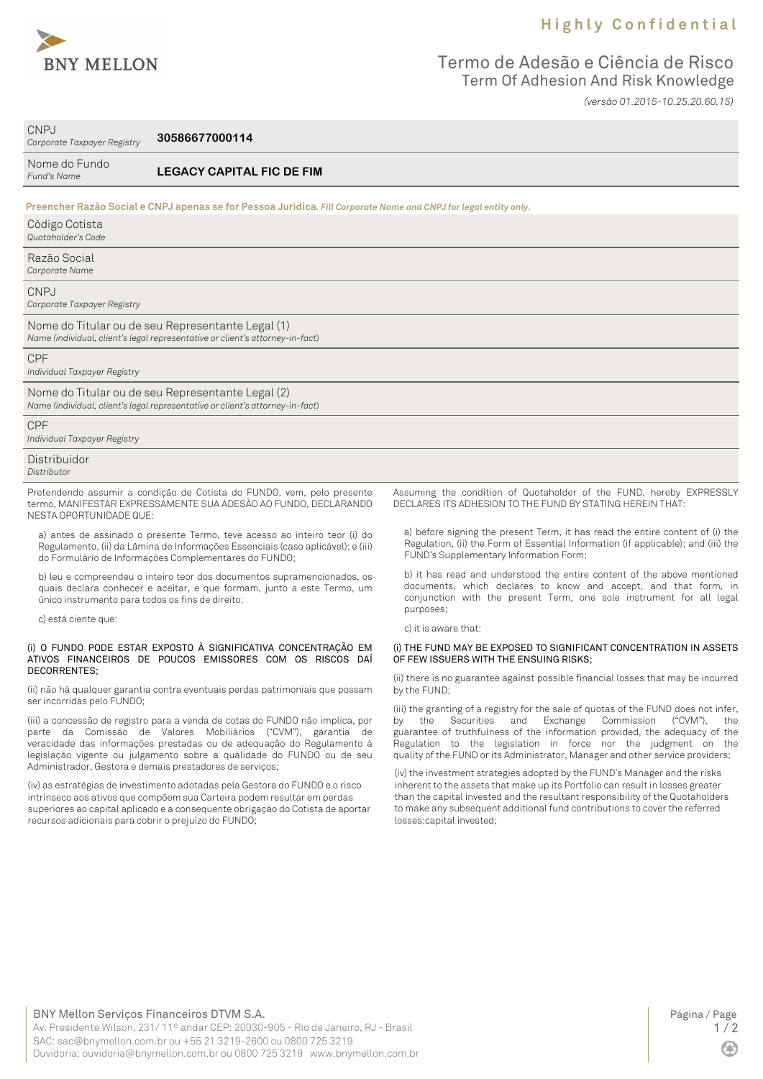

## **H i g h l y C o n f i d e n t i a l**

## Termo de Adesão e Ciência de Risco Term Of Adhesion And Risk Knowledge *(versão 01.2015-10.25.20.60.15)*

CNPJ *Corporate Taxpayer Registry*

**30586677000114**

| Nome do Fundo<br>Fund's Name               | <b>LEGACY CAPITAL FIC DE FIM</b>                                                                                                   |                                                                    |
|--------------------------------------------|------------------------------------------------------------------------------------------------------------------------------------|--------------------------------------------------------------------|
|                                            | Preencher Razão Social e CNPJ apenas se for Pessoa Jurídica. Fill Corporate Name and CNPJ for legal entity only.                   |                                                                    |
| Código Cotista<br>Quotaholder's Code       |                                                                                                                                    |                                                                    |
| Razão Social<br>Corporate Name             |                                                                                                                                    |                                                                    |
| <b>CNPJ</b><br>Corporate Taxpayer Registry |                                                                                                                                    |                                                                    |
|                                            | Nome do Titular ou de seu Representante Legal (1)<br>Name (individual, client's legal representative or client's attorney-in-fact) |                                                                    |
| <b>CPF</b><br>Individual Taxpayer Registry |                                                                                                                                    |                                                                    |
|                                            | Nome do Titular ou de seu Representante Legal (2)<br>Name (individual, client's legal representative or client's attorney-in-fact) |                                                                    |
| <b>CPF</b><br>Individual Taxpayer Registry |                                                                                                                                    |                                                                    |
| Distribuidor<br>Distributor                |                                                                                                                                    |                                                                    |
|                                            | Pretendendo assumir a condição de Cotista do FUNDO, vem, pelo presente                                                             | Assuming the condition of Quotaholder of the FUND, hereby EXPRESSL |

termo, MANIFESTAR EXPRESSAMENTE SUA ADESÃO AO FUNDO, DECLARANDO NESTA OPORTUNIDADE QUE: a) antes de assinado o presente Termo, teve acesso ao inteiro teor (i) do

Regulamento, (ii) da Lâmina de Informações Essenciais (caso aplicável); e (iii) do Formulário de Informações Complementares do FUNDO;

b) leu e compreendeu o inteiro teor dos documentos supramencionados, os quais declara conhecer e aceitar, e que formam, junto a este Termo, um único instrumento para todos os fins de direito;

c) está ciente que:

#### (i) O FUNDO PODE ESTAR EXPOSTO À SIGNIFICATIVA CONCENTRAÇÃO EM ATIVOS FINANCEIROS DE POUCOS EMISSORES COM OS RISCOS DAÍ DECORRENTES;

(ii) não há qualquer garantia contra eventuais perdas patrimoniais que possam ser incorridas pelo FUNDO;

(iii) a concessão de registro para a venda de cotas do FUNDO não implica, por parte da Comissão de Valores Mobiliários ("CVM"), garantia de veracidade das informações prestadas ou de adequação do Regulamento à legislação vigente ou julgamento sobre a qualidade do FUNDO ou de seu Administrador, Gestora e demais prestadores de serviços;

(iv) as estratégias de investimento adotadas pela Gestora do FUNDO e o risco intrínseco aos ativos que compõem sua Carteira podem resultar em perdas superiores ao capital aplicado e a consequente obrigação do Cotista de aportar recursos adicionais para cobrir o prejuízo do FUNDO;

Assuming the condition of Quotaholder of the FUND, hereby EXPRESSLY DECLARES ITS ADHESION TO THE FUND BY STATING HEREIN THAT:

a) before signing the present Term, it has read the entire content of (i) the Regulation, (ii) the Form of Essential Information (if applicable); and (iii) the FUND's Supplementary Information Form;

b) it has read and understood the entire content of the above mentioned documents, which declares to know and accept, and that form, in conjunction with the present Term, one sole instrument for all legal purposes;

c) it is aware that:

### (i) THE FUND MAY BE EXPOSED TO SIGNIFICANT CONCENTRATION IN ASSETS OF FEW ISSUERS WITH THE ENSUING RISKS;

(ii) there is no guarantee against possible financial losses that may be incurred by the FUND;

(iii) the granting of a registry for the sale of quotas of the FUND does not infer, by the Securities and Exchange Commission ("CVM"), the guarantee of truthfulness of the information provided, the adequacy of the Regulation to the legislation in force nor the judgment on the quality of the FUND or its Administrator, Manager and other service providers;

(iv) the investment strategies adopted by the FUND's Manager and the risks inherent to the assets that make up its Portfolio can result in losses greater than the capital invested and the resultant responsibility of the Quotaholders to make any subsequent additional fund contributions to cover the referred losses;capital invested;